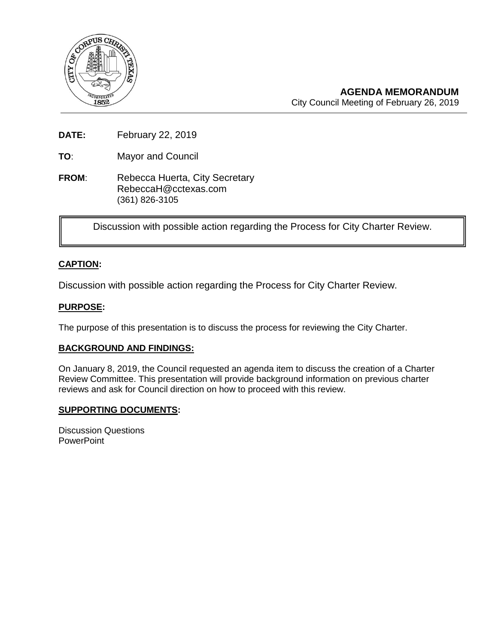

**AGENDA MEMORANDUM** City Council Meeting of February 26, 2019

**DATE:** February 22, 2019

**TO**: Mayor and Council

**FROM:** Rebecca Huerta, City Secretary RebeccaH@cctexas.com (361) 826-3105

Discussion with possible action regarding the Process for City Charter Review.

## **CAPTION:**

Discussion with possible action regarding the Process for City Charter Review.

### **PURPOSE:**

The purpose of this presentation is to discuss the process for reviewing the City Charter.

#### **BACKGROUND AND FINDINGS:**

On January 8, 2019, the Council requested an agenda item to discuss the creation of a Charter Review Committee. This presentation will provide background information on previous charter reviews and ask for Council direction on how to proceed with this review.

#### **SUPPORTING DOCUMENTS:**

Discussion Questions **PowerPoint**